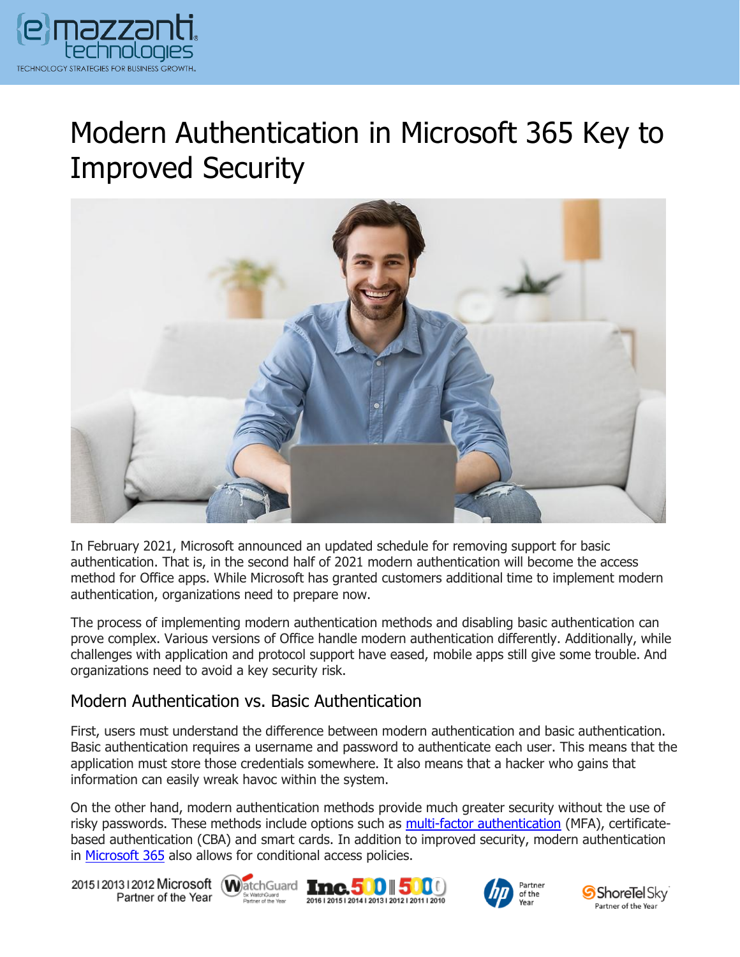

# Modern Authentication in Microsoft 365 Key to Improved Security



In February 2021, Microsoft announced an updated schedule for removing support for basic authentication. That is, in the second half of 2021 modern authentication will become the access method for Office apps. While Microsoft has granted customers additional time to implement modern authentication, organizations need to prepare now.

The process of implementing modern authentication methods and disabling basic authentication can prove complex. Various versions of Office handle modern authentication differently. Additionally, while challenges with application and protocol support have eased, mobile apps still give some trouble. And organizations need to avoid a key security risk.

#### Modern Authentication vs. Basic Authentication

First, users must understand the difference between modern authentication and basic authentication. Basic authentication requires a username and password to authenticate each user. This means that the application must store those credentials somewhere. It also means that a hacker who gains that information can easily wreak havoc within the system.

On the other hand, modern authentication methods provide much greater security without the use of risky passwords. These methods include options such as **multi-factor authentication** (MFA), certificatebased authentication (CBA) and smart cards. In addition to improved security, modern authentication in [Microsoft 365](https://www.emazzanti.net/microsoft-365-for-remote-work/) also allows for conditional access policies.

20151201312012 Microsoft WatchGuard **Inc.500 5** Partner of the Year







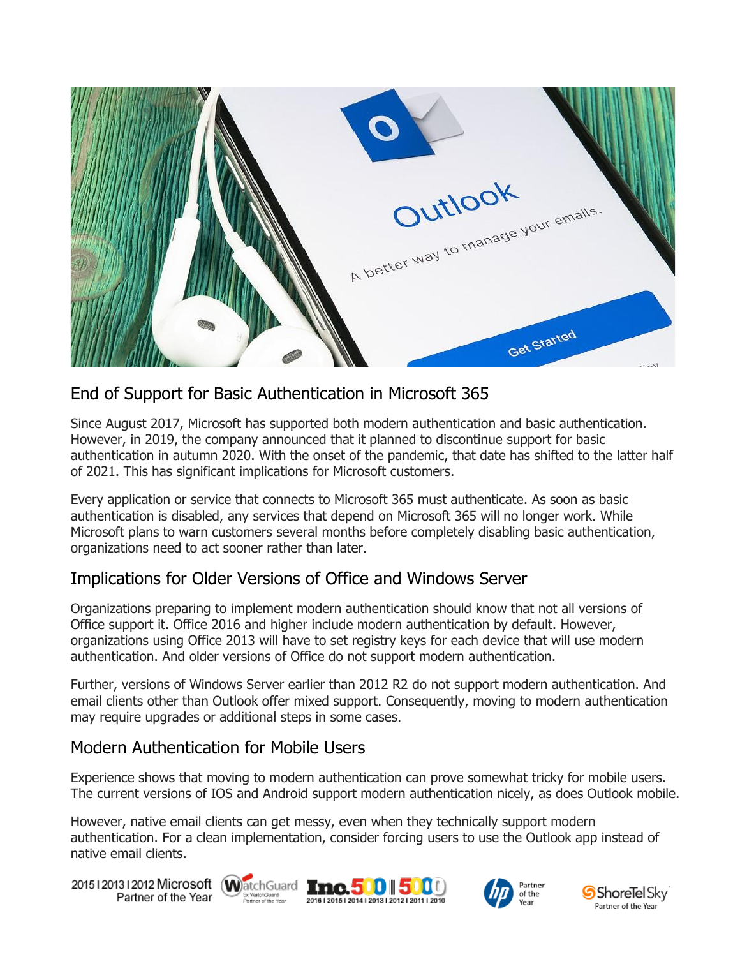

# End of Support for Basic Authentication in Microsoft 365

Since August 2017, Microsoft has supported both modern authentication and basic authentication. However, in 2019, the company announced that it planned to discontinue support for basic authentication in autumn 2020. With the onset of the pandemic, that date has shifted to the latter half of 2021. This has significant implications for Microsoft customers.

Every application or service that connects to Microsoft 365 must authenticate. As soon as basic authentication is disabled, any services that depend on Microsoft 365 will no longer work. While Microsoft plans to warn customers several months before completely disabling basic authentication, organizations need to act sooner rather than later.

## Implications for Older Versions of Office and Windows Server

Organizations preparing to implement modern authentication should know that not all versions of Office support it. Office 2016 and higher include modern authentication by default. However, organizations using Office 2013 will have to set registry keys for each device that will use modern authentication. And older versions of Office do not support modern authentication.

Further, versions of Windows Server earlier than 2012 R2 do not support modern authentication. And email clients other than Outlook offer mixed support. Consequently, moving to modern authentication may require upgrades or additional steps in some cases.

## Modern Authentication for Mobile Users

Experience shows that moving to modern authentication can prove somewhat tricky for mobile users. The current versions of IOS and Android support modern authentication nicely, as does Outlook mobile.

However, native email clients can get messy, even when they technically support modern authentication. For a clean implementation, consider forcing users to use the Outlook app instead of native email clients.

20151201312012 Microsoft WatchGuard Tmc. 500 500 Partner of the Year